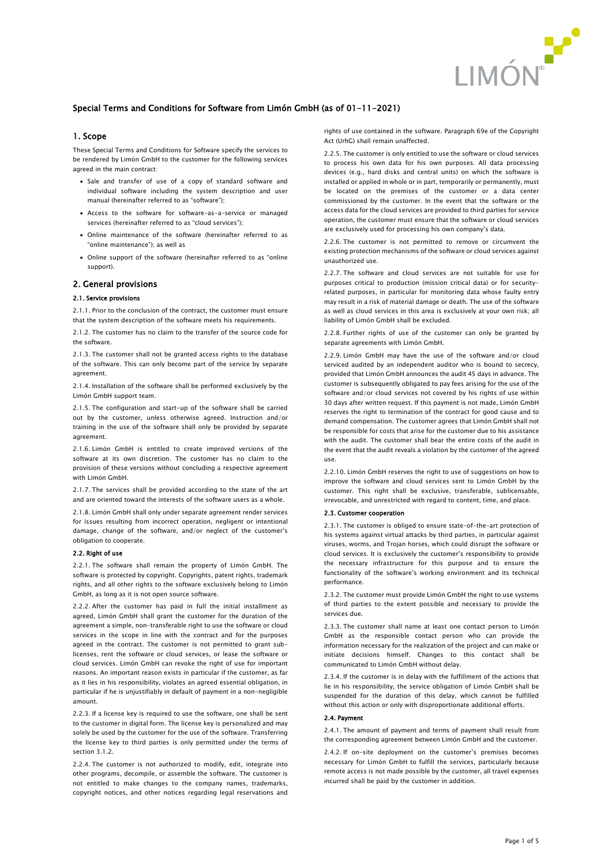

# Special Terms and Conditions for Software from Limón GmbH (as of 01-11-2021)

### 1. Scope

These Special Terms and Conditions for Software specify the services to be rendered by Limón GmbH to the customer for the following services agreed in the main contract:

- Sale and transfer of use of a copy of standard software and individual software including the system description and user manual (hereinafter referred to as "software");
- Access to the software for software-as-a-service or managed services (hereinafter referred to as "cloud services");
- Online maintenance of the software (hereinafter referred to as "online maintenance"); as well as
- Online support of the software (hereinafter referred to as "online support).

### 2. General provisions

### 2.1. Service provisions

2.1.1. Prior to the conclusion of the contract, the customer must ensure that the system description of the software meets his requirements.

2.1.2. The customer has no claim to the transfer of the source code for the software.

2.1.3. The customer shall not be granted access rights to the database of the software. This can only become part of the service by separate agreement.

2.1.4. Installation of the software shall be performed exclusively by the Limón GmbH support team.

2.1.5. The configuration and start-up of the software shall be carried out by the customer, unless otherwise agreed. Instruction and/or training in the use of the software shall only be provided by separate agreement

2.1.6. Limón GmbH is entitled to create improved versions of the software at its own discretion. The customer has no claim to the provision of these versions without concluding a respective agreement with Limón GmbH.

2.1.7. The services shall be provided according to the state of the art and are oriented toward the interests of the software users as a whole.

2.1.8. Limón GmbH shall only under separate agreement render services for issues resulting from incorrect operation, negligent or intentional damage, change of the software, and/or neglect of the customer's obligation to cooperate.

#### 2.2. Right of use

2.2.1. The software shall remain the property of Limón GmbH. The software is protected by copyright. Copyrights, patent rights, trademark rights, and all other rights to the software exclusively belong to Limón GmbH, as long as it is not open source software.

2.2.2. After the customer has paid in full the initial installment as agreed, Limón GmbH shall grant the customer for the duration of the agreement a simple, non-transferable right to use the software or cloud services in the scope in line with the contract and for the purposes agreed in the contract. The customer is not permitted to grant sublicenses, rent the software or cloud services, or lease the software or cloud services. Limón GmbH can revoke the right of use for important reasons. An important reason exists in particular if the customer, as far as it lies in his responsibility, violates an agreed essential obligation, in particular if he is unjustifiably in default of payment in a non-negligible amount.

2.2.3. If a license key is required to use the software, one shall be sent to the customer in digital form. The license key is personalized and may solely be used by the customer for the use of the software. Transferring the license key to third parties is only permitted under the terms of section [3.1.2.](#page-1-0)

2.2.4. The customer is not authorized to modify, edit, integrate into other programs, decompile, or assemble the software. The customer is not entitled to make changes to the company names, trademarks, copyright notices, and other notices regarding legal reservations and rights of use contained in the software. Paragraph 69e of the Copyright Act (UrhG) shall remain unaffected.

2.2.5. The customer is only entitled to use the software or cloud services to process his own data for his own purposes. All data processing devices (e.g., hard disks and central units) on which the software is installed or applied in whole or in part, temporarily or permanently, must be located on the premises of the customer or a data center commissioned by the customer. In the event that the software or the access data for the cloud services are provided to third parties for service operation, the customer must ensure that the software or cloud services are exclusively used for processing his own company's data.

2.2.6. The customer is not permitted to remove or circumvent the existing protection mechanisms of the software or cloud services against unauthorized use.

2.2.7. The software and cloud services are not suitable for use for purposes critical to production (mission critical data) or for securityrelated purposes, in particular for monitoring data whose faulty entry may result in a risk of material damage or death. The use of the software as well as cloud services in this area is exclusively at your own risk; all liability of Limón GmbH shall be excluded.

2.2.8. Further rights of use of the customer can only be granted by separate agreements with Limón GmbH.

2.2.9. Limón GmbH may have the use of the software and/or cloud serviced audited by an independent auditor who is bound to secrecy, provided that Limón GmbH announces the audit 45 days in advance. The customer is subsequently obligated to pay fees arising for the use of the software and/or cloud services not covered by his rights of use within 30 days after written request. If this payment is not made, Limón GmbH reserves the right to termination of the contract for good cause and to demand compensation. The customer agrees that Limón GmbH shall not be responsible for costs that arise for the customer due to his assistance with the audit. The customer shall bear the entire costs of the audit in the event that the audit reveals a violation by the customer of the agreed use.

2.2.10. Limón GmbH reserves the right to use of suggestions on how to improve the software and cloud services sent to Limón GmbH by the customer. This right shall be exclusive, transferable, sublicensable, irrevocable, and unrestricted with regard to content, time, and place.

#### 2.3. Customer cooperation

2.3.1. The customer is obliged to ensure state-of-the-art protection of his systems against virtual attacks by third parties, in particular against viruses, worms, and Trojan horses, which could disrupt the software or cloud services. It is exclusively the customer's responsibility to provide the necessary infrastructure for this purpose and to ensure the functionality of the software's working environment and its technical performance.

2.3.2. The customer must provide Limón GmbH the right to use systems of third parties to the extent possible and necessary to provide the services due.

2.3.3. The customer shall name at least one contact person to Limón GmbH as the responsible contact person who can provide the information necessary for the realization of the project and can make or initiate decisions himself. Changes to this contact shall be communicated to Limón GmbH without delay.

2.3.4. If the customer is in delay with the fulfillment of the actions that lie in his responsibility, the service obligation of Limón GmbH shall be suspended for the duration of this delay, which cannot be fulfilled without this action or only with disproportionate additional efforts.

### 2.4. Payment

2.4.1. The amount of payment and terms of payment shall result from the corresponding agreement between Limón GmbH and the customer.

2.4.2. If on-site deployment on the customer's premises becomes necessary for Limón GmbH to fulfill the services, particularly because remote access is not made possible by the customer, all travel expenses incurred shall be paid by the customer in addition.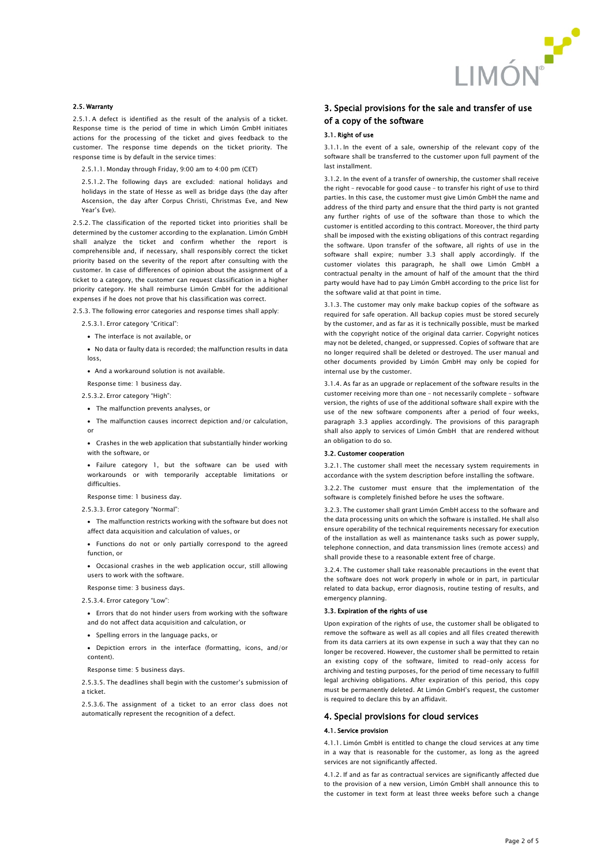

#### 2.5. Warranty

2.5.1. A defect is identified as the result of the analysis of a ticket. Response time is the period of time in which Limón GmbH initiates actions for the processing of the ticket and gives feedback to the customer. The response time depends on the ticket priority. The response time is by default in the service times:

2.5.1.1. Monday through Friday, 9:00 am to 4:00 pm (CET)

2.5.1.2. The following days are excluded: national holidays and holidays in the state of Hesse as well as bridge days (the day after Ascension, the day after Corpus Christi, Christmas Eve, and New Year's Eve).

2.5.2. The classification of the reported ticket into priorities shall be determined by the customer according to the explanation. Limón GmbH shall analyze the ticket and confirm whether the report is comprehensible and, if necessary, shall responsibly correct the ticket priority based on the severity of the report after consulting with the customer. In case of differences of opinion about the assignment of a ticket to a category, the customer can request classification in a higher priority category. He shall reimburse Limón GmbH for the additional expenses if he does not prove that his classification was correct.

2.5.3. The following error categories and response times shall apply:

- 2.5.3.1. Error category "Critical":
- The interface is not available, or
- No data or faulty data is recorded; the malfunction results in data loss,
- And a workaround solution is not available.

Response time: 1 business day.

- 2.5.3.2. Error category "High":
- The malfunction prevents analyses, or
- The malfunction causes incorrect depiction and/or calculation, or
- Crashes in the web application that substantially hinder working with the software, or
- Failure category 1, but the software can be used with workarounds or with temporarily acceptable limitations or difficulties.
- Response time: 1 business day.
- 2.5.3.3. Error category "Normal":
- The malfunction restricts working with the software but does not affect data acquisition and calculation of values, or
- Functions do not or only partially correspond to the agreed function, or
- Occasional crashes in the web application occur, still allowing users to work with the software.
- Response time: 3 business days.
- 2.5.3.4. Error category "Low":
	- Errors that do not hinder users from working with the software and do not affect data acquisition and calculation, or
- Spelling errors in the language packs, or
- Depiction errors in the interface (formatting, icons, and/or content).
- Response time: 5 business days.
- 2.5.3.5. The deadlines shall begin with the customer's submission of a ticket.
- 2.5.3.6. The assignment of a ticket to an error class does not automatically represent the recognition of a defect.

# 3. Special provisions for the sale and transfer of use of a copy of the software

### 3.1. Right of use

3.1.1. In the event of a sale, ownership of the relevant copy of the software shall be transferred to the customer upon full payment of the last installment.

<span id="page-1-0"></span>3.1.2. In the event of a transfer of ownership, the customer shall receive the right – revocable for good cause – to transfer his right of use to third parties. In this case, the customer must give Limón GmbH the name and address of the third party and ensure that the third party is not granted any further rights of use of the software than those to which the customer is entitled according to this contract. Moreover, the third party shall be imposed with the existing obligations of this contract regarding the software. Upon transfer of the software, all rights of use in the software shall expire; number [3.3](#page-1-1) shall apply accordingly. If the customer violates this paragraph, he shall owe Limón GmbH a contractual penalty in the amount of half of the amount that the third party would have had to pay Limón GmbH according to the price list for the software valid at that point in time.

3.1.3. The customer may only make backup copies of the software as required for safe operation. All backup copies must be stored securely by the customer, and as far as it is technically possible, must be marked with the copyright notice of the original data carrier. Copyright notices may not be deleted, changed, or suppressed. Copies of software that are no longer required shall be deleted or destroyed. The user manual and other documents provided by Limón GmbH may only be copied for internal use by the customer.

3.1.4. As far as an upgrade or replacement of the software results in the customer receiving more than one – not necessarily complete – software version, the rights of use of the additional software shall expire with the use of the new software components after a period of four weeks, paragraph [3.3](#page-1-1) applies accordingly. The provisions of this paragraph shall also apply to services of Limón GmbH that are rendered without an obligation to do so.

### 3.2. Customer cooperation

3.2.1. The customer shall meet the necessary system requirements in accordance with the system description before installing the software.

3.2.2. The customer must ensure that the implementation of the software is completely finished before he uses the software.

3.2.3. The customer shall grant Limón GmbH access to the software and the data processing units on which the software is installed. He shall also ensure operability of the technical requirements necessary for execution of the installation as well as maintenance tasks such as power supply, telephone connection, and data transmission lines (remote access) and shall provide these to a reasonable extent free of charge.

3.2.4. The customer shall take reasonable precautions in the event that the software does not work properly in whole or in part, in particular related to data backup, error diagnosis, routine testing of results, and emergency planning.

### <span id="page-1-1"></span>3.3. Expiration of the rights of use

Upon expiration of the rights of use, the customer shall be obligated to remove the software as well as all copies and all files created therewith from its data carriers at its own expense in such a way that they can no longer be recovered. However, the customer shall be permitted to retain an existing copy of the software, limited to read-only access for archiving and testing purposes, for the period of time necessary to fulfill legal archiving obligations. After expiration of this period, this copy must be permanently deleted. At Limón GmbH's request, the customer is required to declare this by an affidavit.

# 4. Special provisions for cloud services

### 4.1. Service provision

4.1.1. Limón GmbH is entitled to change the cloud services at any time in a way that is reasonable for the customer, as long as the agreed services are not significantly affected.

<span id="page-1-2"></span>4.1.2. If and as far as contractual services are significantly affected due to the provision of a new version, Limón GmbH shall announce this to the customer in text form at least three weeks before such a change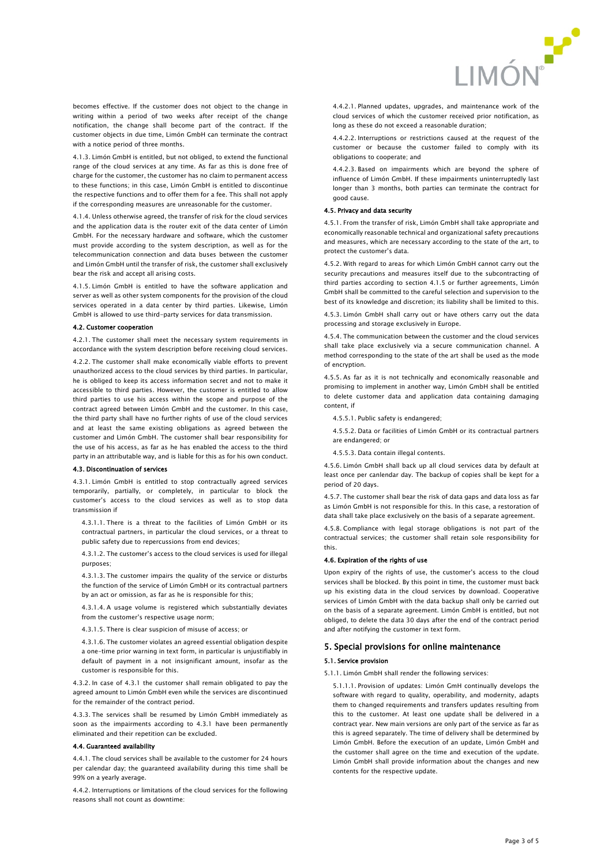

becomes effective. If the customer does not object to the change in writing within a period of two weeks after receipt of the change notification, the change shall become part of the contract. If the customer objects in due time, Limón GmbH can terminate the contract with a notice period of three months.

4.1.3. Limón GmbH is entitled, but not obliged, to extend the functional range of the cloud services at any time. As far as this is done free of charge for the customer, the customer has no claim to permanent access to these functions; in this case, Limón GmbH is entitled to discontinue the respective functions and to offer them for a fee. This shall not apply if the corresponding measures are unreasonable for the customer.

4.1.4. Unless otherwise agreed, the transfer of risk for the cloud services and the application data is the router exit of the data center of Limón GmbH. For the necessary hardware and software, which the customer must provide according to the system description, as well as for the telecommunication connection and data buses between the customer and Limón GmbH until the transfer of risk, the customer shall exclusively bear the risk and accept all arising costs.

<span id="page-2-1"></span>4.1.5. Limón GmbH is entitled to have the software application and server as well as other system components for the provision of the cloud services operated in a data center by third parties. Likewise, Limón GmbH is allowed to use third-party services for data transmission.

#### 4.2. Customer cooperation

4.2.1. The customer shall meet the necessary system requirements in accordance with the system description before receiving cloud services.

4.2.2. The customer shall make economically viable efforts to prevent unauthorized access to the cloud services by third parties. In particular, he is obliged to keep its access information secret and not to make it accessible to third parties. However, the customer is entitled to allow third parties to use his access within the scope and purpose of the contract agreed between Limón GmbH and the customer. In this case, the third party shall have no further rights of use of the cloud services and at least the same existing obligations as agreed between the customer and Limón GmbH. The customer shall bear responsibility for the use of his access, as far as he has enabled the access to the third party in an attributable way, and is liable for this as for his own conduct.

#### 4.3. Discontinuation of services

<span id="page-2-0"></span>4.3.1. Limón GmbH is entitled to stop contractually agreed services temporarily, partially, or completely, in particular to block the customer's access to the cloud services as well as to stop data transmission if

4.3.1.1. There is a threat to the facilities of Limón GmbH or its contractual partners, in particular the cloud services, or a threat to public safety due to repercussions from end devices;

4.3.1.2. The customer's access to the cloud services is used for illegal purposes;

4.3.1.3. The customer impairs the quality of the service or disturbs the function of the service of Limón GmbH or its contractual partners by an act or omission, as far as he is responsible for this;

4.3.1.4. A usage volume is registered which substantially deviates from the customer's respective usage norm;

4.3.1.5. There is clear suspicion of misuse of access; or

4.3.1.6. The customer violates an agreed essential obligation despite a one-time prior warning in text form, in particular is unjustifiably in default of payment in a not insignificant amount, insofar as the customer is responsible for this.

4.3.2. In case of [4.3.1](#page-2-0) the customer shall remain obligated to pay the agreed amount to Limón GmbH even while the services are discontinued for the remainder of the contract period.

4.3.3. The services shall be resumed by Limón GmbH immediately as soon as the impairments according to [4.3.1](#page-2-0) have been permanently eliminated and their repetition can be excluded.

### 4.4. Guaranteed availability

4.4.1. The cloud services shall be available to the customer for 24 hours per calendar day; the guaranteed availability during this time shall be 99% on a yearly average.

4.4.2. Interruptions or limitations of the cloud services for the following reasons shall not count as downtime:

4.4.2.1. Planned updates, upgrades, and maintenance work of the cloud services of which the customer received prior notification, as long as these do not exceed a reasonable duration;

4.4.2.2. Interruptions or restrictions caused at the request of the customer or because the customer failed to comply with its obligations to cooperate; and

4.4.2.3. Based on impairments which are beyond the sphere of influence of Limón GmbH. If these impairments uninterruptedly last longer than 3 months, both parties can terminate the contract for good cause.

### 4.5. Privacy and data security

4.5.1. From the transfer of risk, Limón GmbH shall take appropriate and economically reasonable technical and organizational safety precautions and measures, which are necessary according to the state of the art, to protect the customer's data.

4.5.2. With regard to areas for which Limón GmbH cannot carry out the security precautions and measures itself due to the subcontracting of third parties according to section [4.1.5](#page-2-1) or further agreements, Limón GmbH shall be committed to the careful selection and supervision to the best of its knowledge and discretion; its liability shall be limited to this.

4.5.3. Limón GmbH shall carry out or have others carry out the data processing and storage exclusively in Europe.

4.5.4. The communication between the customer and the cloud services shall take place exclusively via a secure communication channel. A method corresponding to the state of the art shall be used as the mode of encryption.

4.5.5. As far as it is not technically and economically reasonable and promising to implement in another way, Limón GmbH shall be entitled to delete customer data and application data containing damaging content, if

- 4.5.5.1. Public safety is endangered;
- 4.5.5.2. Data or facilities of Limón GmbH or its contractual partners are endangered; or
- 4.5.5.3. Data contain illegal contents.

4.5.6. Limón GmbH shall back up all cloud services data by default at least once per canlendar day. The backup of copies shall be kept for a period of 20 days.

4.5.7. The customer shall bear the risk of data gaps and data loss as far as Limón GmbH is not responsible for this. In this case, a restoration of data shall take place exclusively on the basis of a separate agreement.

4.5.8. Compliance with legal storage obligations is not part of the contractual services; the customer shall retain sole responsibility for this.

#### 4.6. Expiration of the rights of use

Upon expiry of the rights of use, the customer's access to the cloud services shall be blocked. By this point in time, the customer must back up his existing data in the cloud services by download. Cooperative services of Limón GmbH with the data backup shall only be carried out on the basis of a separate agreement. Limón GmbH is entitled, but not obliged, to delete the data 30 days after the end of the contract period and after notifying the customer in text form.

# 5. Special provisions for online maintenance

### 5.1. Service provision

5.1.1. Limón GmbH shall render the following services:

5.1.1.1. Provision of updates: Limón GmH continually develops the software with regard to quality, operability, and modernity, adapts them to changed requirements and transfers updates resulting from this to the customer. At least one update shall be delivered in a contract year. New main versions are only part of the service as far as this is agreed separately. The time of delivery shall be determined by Limón GmbH. Before the execution of an update, Limón GmbH and the customer shall agree on the time and execution of the update. Limón GmbH shall provide information about the changes and new contents for the respective update.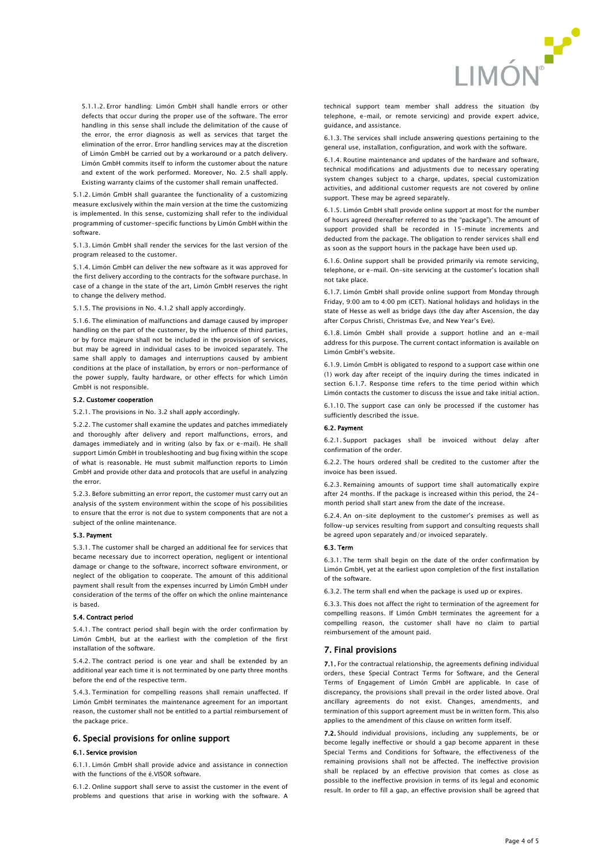

5.1.1.2. Error handling: Limón GmbH shall handle errors or other defects that occur during the proper use of the software. The error handling in this sense shall include the delimitation of the cause of the error, the error diagnosis as well as services that target the elimination of the error. Error handling services may at the discretion of Limón GmbH be carried out by a workaround or a patch delivery. Limón GmbH commits itself to inform the customer about the nature and extent of the work performed. Moreover, No. 2.5 shall apply. Existing warranty claims of the customer shall remain unaffected.

5.1.2. Limón GmbH shall guarantee the functionality of a customizing measure exclusively within the main version at the time the customizing is implemented. In this sense, customizing shall refer to the individual programming of customer-specific functions by Limón GmbH within the software.

5.1.3. Limón GmbH shall render the services for the last version of the program released to the customer.

5.1.4. Limón GmbH can deliver the new software as it was approved for the first delivery according to the contracts for the software purchase. In case of a change in the state of the art, Limón GmbH reserves the right to change the delivery method.

5.1.5. The provisions in No[. 4.1.2](#page-1-2) shall apply accordingly.

5.1.6. The elimination of malfunctions and damage caused by improper handling on the part of the customer, by the influence of third parties, or by force majeure shall not be included in the provision of services, but may be agreed in individual cases to be invoiced separately. The same shall apply to damages and interruptions caused by ambient conditions at the place of installation, by errors or non-performance of the power supply, faulty hardware, or other effects for which Limón GmbH is not responsible.

#### 5.2. Customer cooperation

5.2.1. The provisions in No. 3.2 shall apply accordingly.

5.2.2. The customer shall examine the updates and patches immediately and thoroughly after delivery and report malfunctions, errors, and damages immediately and in writing (also by fax or e-mail). He shall support Limón GmbH in troubleshooting and bug fixing within the scope of what is reasonable. He must submit malfunction reports to Limón GmbH and provide other data and protocols that are useful in analyzing the error.

5.2.3. Before submitting an error report, the customer must carry out an analysis of the system environment within the scope of his possibilities to ensure that the error is not due to system components that are not a subject of the online maintenance.

### 5.3. Payment

5.3.1. The customer shall be charged an additional fee for services that became necessary due to incorrect operation, negligent or intentional damage or change to the software, incorrect software environment, or neglect of the obligation to cooperate. The amount of this additional payment shall result from the expenses incurred by Limón GmbH under consideration of the terms of the offer on which the online maintenance is based.

### 5.4. Contract period

5.4.1. The contract period shall begin with the order confirmation by Limón GmbH, but at the earliest with the completion of the first installation of the software.

5.4.2. The contract period is one year and shall be extended by an additional year each time it is not terminated by one party three months before the end of the respective term.

5.4.3. Termination for compelling reasons shall remain unaffected. If Limón GmbH terminates the maintenance agreement for an important reason, the customer shall not be entitled to a partial reimbursement of the package price.

### 6. Special provisions for online support

#### 6.1. Service provision

6.1.1. Limón GmbH shall provide advice and assistance in connection with the functions of the é VISOR software.

6.1.2. Online support shall serve to assist the customer in the event of problems and questions that arise in working with the software. A

technical support team member shall address the situation (by telephone, e-mail, or remote servicing) and provide expert advice, guidance, and assistance.

6.1.3. The services shall include answering questions pertaining to the general use, installation, configuration, and work with the software.

6.1.4. Routine maintenance and updates of the hardware and software, technical modifications and adjustments due to necessary operating system changes subject to a charge, updates, special customization activities, and additional customer requests are not covered by online support. These may be agreed separately.

6.1.5. Limón GmbH shall provide online support at most for the number of hours agreed (hereafter referred to as the "package"). The amount of support provided shall be recorded in 15-minute increments and deducted from the package. The obligation to render services shall end as soon as the support hours in the package have been used up.

6.1.6. Online support shall be provided primarily via remote servicing, telephone, or e-mail. On-site servicing at the customer's location shall not take place.

<span id="page-3-0"></span>6.1.7. Limón GmbH shall provide online support from Monday through Friday, 9:00 am to 4:00 pm (CET). National holidays and holidays in the state of Hesse as well as bridge days (the day after Ascension, the day after Corpus Christi, Christmas Eve, and New Year's Eve).

6.1.8. Limón GmbH shall provide a support hotline and an e-mail address for this purpose. The current contact information is available on Limón GmbH's website.

6.1.9. Limón GmbH is obligated to respond to a support case within one (1) work day after receipt of the inquiry during the times indicated in section [6.1.7.](#page-3-0) Response time refers to the time period within which Limón contacts the customer to discuss the issue and take initial action.

6.1.10. The support case can only be processed if the customer has sufficiently described the issue.

#### 6.2. Payment

6.2.1. Support packages shall be invoiced without delay after confirmation of the order.

6.2.2. The hours ordered shall be credited to the customer after the invoice has been issued.

6.2.3. Remaining amounts of support time shall automatically expire after 24 months. If the package is increased within this period, the 24 month period shall start anew from the date of the increase.

6.2.4. An on-site deployment to the customer's premises as well as follow-up services resulting from support and consulting requests shall be agreed upon separately and/or invoiced separately.

#### 6.3. Term

6.3.1. The term shall begin on the date of the order confirmation by Limón GmbH, yet at the earliest upon completion of the first installation of the software.

6.3.2. The term shall end when the package is used up or expires.

6.3.3. This does not affect the right to termination of the agreement for compelling reasons. If Limón GmbH terminates the agreement for a compelling reason, the customer shall have no claim to partial reimbursement of the amount paid.

### 7. Final provisions

7.1. For the contractual relationship, the agreements defining individual orders, these Special Contract Terms for Software, and the General Terms of Engagement of Limón GmbH are applicable. In case of discrepancy, the provisions shall prevail in the order listed above. Oral ancillary agreements do not exist. Changes, amendments, and termination of this support agreement must be in written form. This also applies to the amendment of this clause on written form itself.

7.2. Should individual provisions, including any supplements, be or become legally ineffective or should a gap become apparent in these Special Terms and Conditions for Software, the effectiveness of the remaining provisions shall not be affected. The ineffective provision shall be replaced by an effective provision that comes as close as possible to the ineffective provision in terms of its legal and economic result. In order to fill a gap, an effective provision shall be agreed that